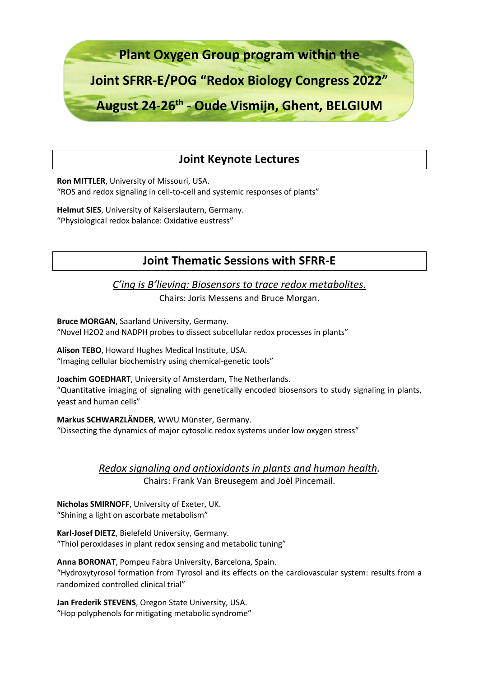

# **Joint Keynote Lectures**

**Ron MITTLER**, University of Missouri, USA. "ROS and redox signaling in cell-to-cell and systemic responses of plants"

**Helmut SIES**, University of Kaiserslautern, Germany. "Physiological redox balance: Oxidative eustress"

## **Joint Thematic Sessions with SFRR-E**

*C'ing is B'lieving: Biosensors to trace redox metabolites.*

Chairs: Joris Messens and Bruce Morgan.

**Bruce MORGAN**, Saarland University, Germany.

"Novel H2O2 and NADPH probes to dissect subcellular redox processes in plants"

**Alison TEBO**, Howard Hughes Medical Institute, USA.

"Imaging cellular biochemistry using chemical-genetic tools"

**Joachim GOEDHART**, University of Amsterdam, The Netherlands. "Quantitative imaging of signaling with genetically encoded biosensors to study signaling in plants, yeast and human cells"

**Markus SCHWARZLÄNDER**, WWU Münster, Germany. "Dissecting the dynamics of major cytosolic redox systems under low oxygen stress"

> *Redox signaling and antioxidants in plants and human health.* Chairs: Frank Van Breusegem and Joël Pincemail.

**Nicholas SMIRNOFF**, University of Exeter, UK. "Shining a light on ascorbate metabolism"

**Karl-Josef DIETZ**, Bielefeld University, Germany. "Thiol peroxidases in plant redox sensing and metabolic tuning"

**Anna BORONAT**, Pompeu Fabra University, Barcelona, Spain. "Hydroxytyrosol formation from Tyrosol and its effects on the cardiovascular system: results from a randomized controlled clinical trial"

**Jan Frederik STEVENS**, Oregon State University, USA. "Hop polyphenols for mitigating metabolic syndrome"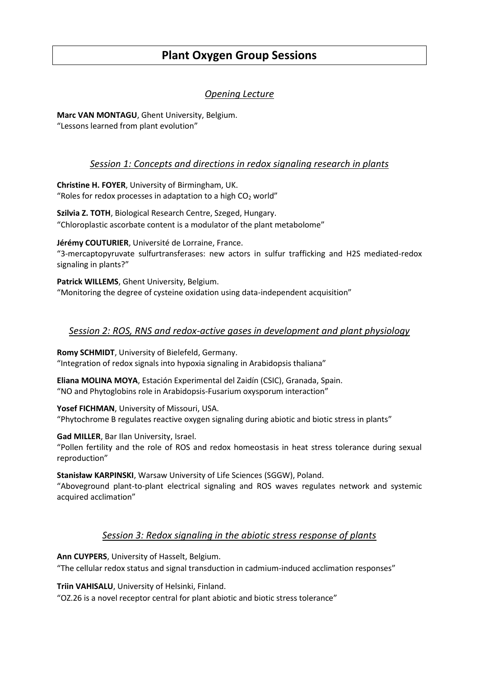# **Plant Oxygen Group Sessions**

## *Opening Lecture*

**Marc VAN MONTAGU**, Ghent University, Belgium. "Lessons learned from plant evolution"

## *Session 1: Concepts and directions in redox signaling research in plants*

**Christine H. FOYER**, University of Birmingham, UK. "Roles for redox processes in adaptation to a high  $CO<sub>2</sub>$  world"

**Szilvia Z. TOTH**, Biological Research Centre, Szeged, Hungary. "Chloroplastic ascorbate content is a modulator of the plant metabolome"

**Jérémy COUTURIER**, Université de Lorraine, France. "3-mercaptopyruvate sulfurtransferases: new actors in sulfur trafficking and H2S mediated-redox signaling in plants?"

**Patrick WILLEMS**, Ghent University, Belgium. "Monitoring the degree of cysteine oxidation using data-independent acquisition"

## *Session 2: ROS, RNS and redox-active gases in development and plant physiology*

**Romy SCHMIDT**, University of Bielefeld, Germany. "Integration of redox signals into hypoxia signaling in Arabidopsis thaliana"

**Eliana MOLINA MOYA**, Estación Experimental del Zaidín (CSIC), Granada, Spain. "NO and Phytoglobins role in Arabidopsis-Fusarium oxysporum interaction"

**Yosef FICHMAN**, University of Missouri, USA. "Phytochrome B regulates reactive oxygen signaling during abiotic and biotic stress in plants"

**Gad MILLER**, Bar Ilan University, Israel.

"Pollen fertility and the role of ROS and redox homeostasis in heat stress tolerance during sexual reproduction"

**Stanisław KARPINSKI**, Warsaw University of Life Sciences (SGGW), Poland.

"Aboveground plant-to-plant electrical signaling and ROS waves regulates network and systemic acquired acclimation"

### *Session 3: Redox signaling in the abiotic stress response of plants*

**Ann CUYPERS**, University of Hasselt, Belgium.

"The cellular redox status and signal transduction in cadmium-induced acclimation responses"

**Triin VAHISALU**, University of Helsinki, Finland.

"OZ.26 is a novel receptor central for plant abiotic and biotic stress tolerance"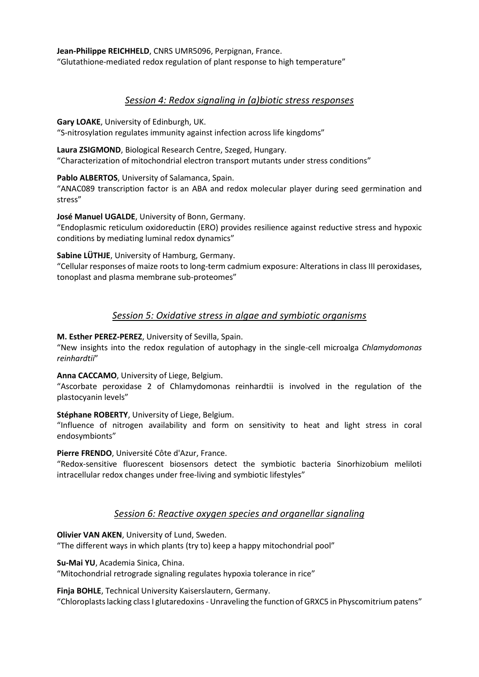**Jean-Philippe REICHHELD**, CNRS UMR5096, Perpignan, France. "Glutathione-mediated redox regulation of plant response to high temperature"

## *Session 4: Redox signaling in (a)biotic stress responses*

**Gary LOAKE**, University of Edinburgh, UK.

"S-nitrosylation regulates immunity against infection across life kingdoms"

**Laura ZSIGMOND**, Biological Research Centre, Szeged, Hungary. "Characterization of mitochondrial electron transport mutants under stress conditions"

**Pablo ALBERTOS**, University of Salamanca, Spain.

"ANAC089 transcription factor is an ABA and redox molecular player during seed germination and stress"

**José Manuel UGALDE**, University of Bonn, Germany.

"Endoplasmic reticulum oxidoreductin (ERO) provides resilience against reductive stress and hypoxic conditions by mediating luminal redox dynamics"

**Sabine LÜTHJE**, University of Hamburg, Germany.

"Cellular responses of maize roots to long-term cadmium exposure: Alterations in class III peroxidases, tonoplast and plasma membrane sub-proteomes"

## *Session 5: Oxidative stress in algae and symbiotic organisms*

**M. Esther PEREZ-PEREZ**, University of Sevilla, Spain.

"New insights into the redox regulation of autophagy in the single-cell microalga *Chlamydomonas reinhardtii*"

**Anna CACCAMO**, University of Liege, Belgium.

"Ascorbate peroxidase 2 of Chlamydomonas reinhardtii is involved in the regulation of the plastocyanin levels"

#### **Stéphane ROBERTY**, University of Liege, Belgium.

"Influence of nitrogen availability and form on sensitivity to heat and light stress in coral endosymbionts"

#### **Pierre FRENDO**, Université Côte d'Azur, France.

"Redox-sensitive fluorescent biosensors detect the symbiotic bacteria Sinorhizobium meliloti intracellular redox changes under free-living and symbiotic lifestyles"

## *Session 6: Reactive oxygen species and organellar signaling*

**Olivier VAN AKEN**, University of Lund, Sweden.

"The different ways in which plants (try to) keep a happy mitochondrial pool"

**Su-Mai YU**, Academia Sinica, China.

"Mitochondrial retrograde signaling regulates hypoxia tolerance in rice"

**Finja BOHLE**, Technical University Kaiserslautern, Germany.

"Chloroplasts lacking class I glutaredoxins - Unraveling the function of GRXC5 in Physcomitrium patens"